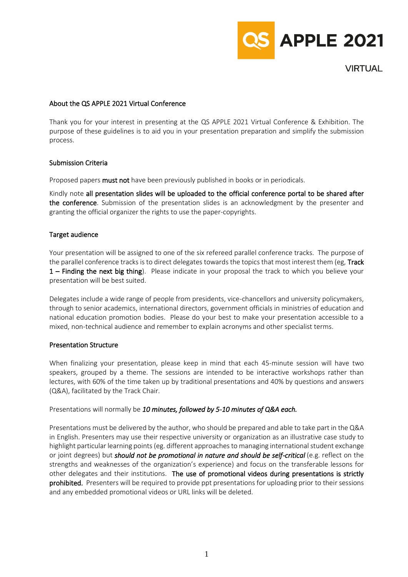

**VIRTUAL** 

## About the QS APPLE 2021 Virtual Conference

Thank you for your interest in presenting at the QS APPLE 2021 Virtual Conference & Exhibition. The purpose of these guidelines is to aid you in your presentation preparation and simplify the submission process.

# Submission Criteria

Proposed papers must not have been previously published in books or in periodicals.

Kindly note all presentation slides will be uploaded to the official conference portal to be shared after the conference. Submission of the presentation slides is an acknowledgment by the presenter and granting the official organizer the rights to use the paper-copyrights.

# Target audience

Your presentation will be assigned to one of the six refereed parallel conference tracks. The purpose of the parallel conference tracks is to direct delegates towards the topics that most interest them (eg, Track 1 – Finding the next big thing). Please indicate in your proposal the track to which you believe your presentation will be best suited.

Delegates include a wide range of people from presidents, vice-chancellors and university policymakers, through to senior academics, international directors, government officials in ministries of education and national education promotion bodies. Please do your best to make your presentation accessible to a mixed, non-technical audience and remember to explain acronyms and other specialist terms.

## Presentation Structure

When finalizing your presentation, please keep in mind that each 45-minute session will have two speakers, grouped by a theme. The sessions are intended to be interactive workshops rather than lectures, with 60% of the time taken up by traditional presentations and 40% by questions and answers (Q&A), facilitated by the Track Chair.

## Presentations will normally be *10 minutes, followed by 5-10 minutes of Q&A each.*

Presentations must be delivered by the author, who should be prepared and able to take part in the Q&A in English. Presenters may use their respective university or organization as an illustrative case study to highlight particular learning points (eg. different approaches to managing international student exchange or joint degrees) but *should not be promotional in nature and should be self-critical* (e.g. reflect on the strengths and weaknesses of the organization's experience) and focus on the transferable lessons for other delegates and their institutions. The use of promotional videos during presentations is strictly prohibited. Presenters will be required to provide ppt presentations for uploading prior to their sessions and any embedded promotional videos or URL links will be deleted.